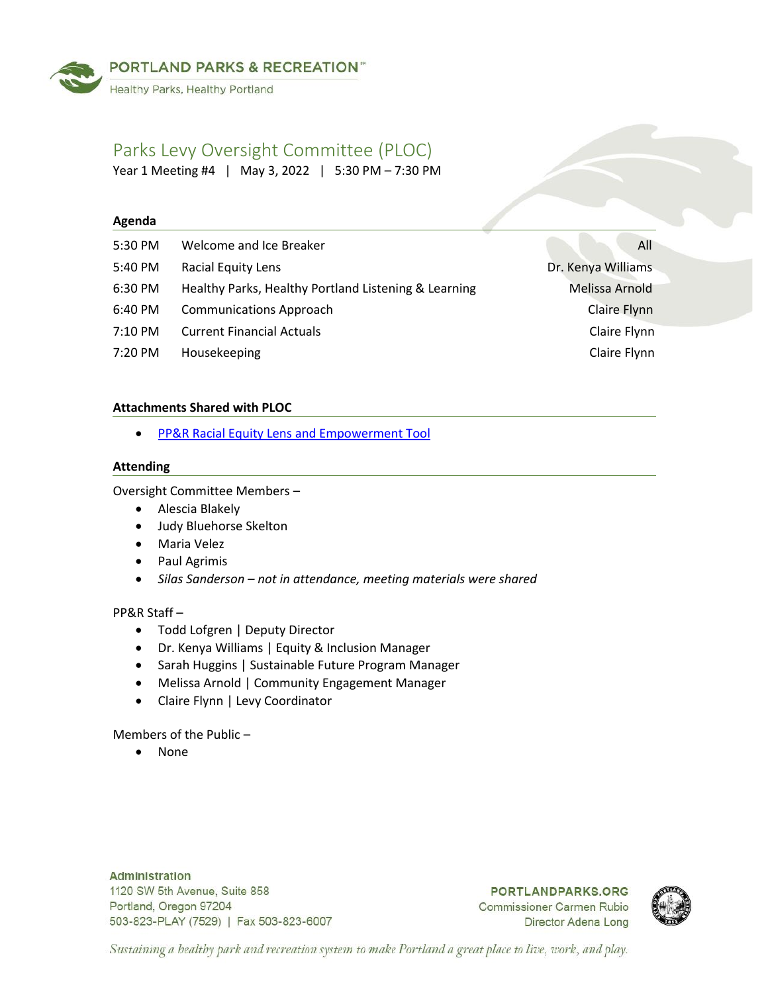

# Parks Levy Oversight Committee (PLOC)

Year 1 Meeting #4 | May 3, 2022 | 5:30 PM – 7:30 PM

# **Agenda**

| 5:30 PM | Welcome and Ice Breaker                              | All                |
|---------|------------------------------------------------------|--------------------|
| 5:40 PM | <b>Racial Equity Lens</b>                            | Dr. Kenya Williams |
| 6:30 PM | Healthy Parks, Healthy Portland Listening & Learning | Melissa Arnold     |
| 6:40 PM | <b>Communications Approach</b>                       | Claire Flynn       |
| 7:10 PM | <b>Current Financial Actuals</b>                     | Claire Flynn       |
| 7:20 PM | Housekeeping                                         | Claire Flynn       |

# **Attachments Shared with PLOC**

• [PP&R Racial Equity Lens and Empowerment Tool](https://www.portland.gov/sites/default/files/2021/ppr-racial-equity-lens_march2021.pdf)

# **Attending**

Oversight Committee Members –

- Alescia Blakely
- Judy Bluehorse Skelton
- Maria Velez
- Paul Agrimis
- *Silas Sanderson – not in attendance, meeting materials were shared*

# PP&R Staff –

- Todd Lofgren | Deputy Director
- Dr. Kenya Williams | Equity & Inclusion Manager
- Sarah Huggins | Sustainable Future Program Manager
- Melissa Arnold | Community Engagement Manager
- Claire Flynn | Levy Coordinator

Members of the Public –

• None

**Administration** 1120 SW 5th Avenue, Suite 858 Portland, Oregon 97204 503-823-PLAY (7529) | Fax 503-823-6007

**PORTLANDPARKS.ORG Commissioner Carmen Rubio** Director Adena Long



Sustaining a healthy park and recreation system to make Portland a great place to live, work, and play.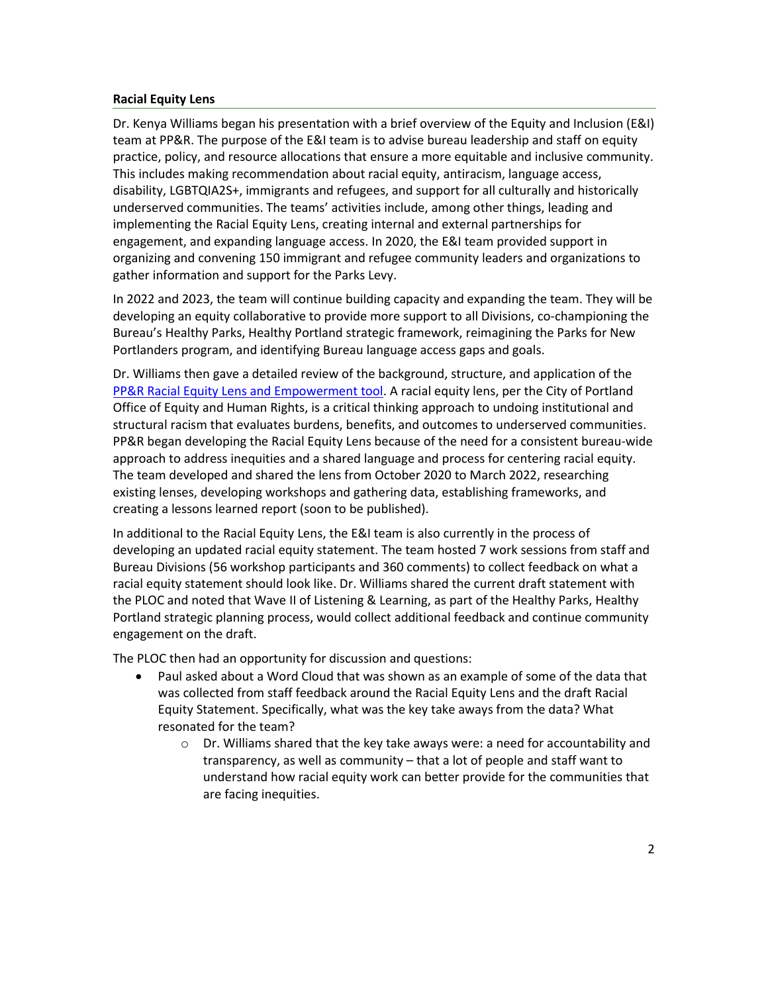## **Racial Equity Lens**

Dr. Kenya Williams began his presentation with a brief overview of the Equity and Inclusion (E&I) team at PP&R. The purpose of the E&I team is to advise bureau leadership and staff on equity practice, policy, and resource allocations that ensure a more equitable and inclusive community. This includes making recommendation about racial equity, antiracism, language access, disability, LGBTQIA2S+, immigrants and refugees, and support for all culturally and historically underserved communities. The teams' activities include, among other things, leading and implementing the Racial Equity Lens, creating internal and external partnerships for engagement, and expanding language access. In 2020, the E&I team provided support in organizing and convening 150 immigrant and refugee community leaders and organizations to gather information and support for the Parks Levy.

In 2022 and 2023, the team will continue building capacity and expanding the team. They will be developing an equity collaborative to provide more support to all Divisions, co-championing the Bureau's Healthy Parks, Healthy Portland strategic framework, reimagining the Parks for New Portlanders program, and identifying Bureau language access gaps and goals.

Dr. Williams then gave a detailed review of the background, structure, and application of the [PP&R Racial Equity Lens and Empowerment tool.](https://www.portland.gov/sites/default/files/2021/ppr-racial-equity-lens_march2021.pdf) A racial equity lens, per the City of Portland Office of Equity and Human Rights, is a critical thinking approach to undoing institutional and structural racism that evaluates burdens, benefits, and outcomes to underserved communities. PP&R began developing the Racial Equity Lens because of the need for a consistent bureau-wide approach to address inequities and a shared language and process for centering racial equity. The team developed and shared the lens from October 2020 to March 2022, researching existing lenses, developing workshops and gathering data, establishing frameworks, and creating a lessons learned report (soon to be published).

In additional to the Racial Equity Lens, the E&I team is also currently in the process of developing an updated racial equity statement. The team hosted 7 work sessions from staff and Bureau Divisions (56 workshop participants and 360 comments) to collect feedback on what a racial equity statement should look like. Dr. Williams shared the current draft statement with the PLOC and noted that Wave II of Listening & Learning, as part of the Healthy Parks, Healthy Portland strategic planning process, would collect additional feedback and continue community engagement on the draft.

The PLOC then had an opportunity for discussion and questions:

- Paul asked about a Word Cloud that was shown as an example of some of the data that was collected from staff feedback around the Racial Equity Lens and the draft Racial Equity Statement. Specifically, what was the key take aways from the data? What resonated for the team?
	- $\circ$  Dr. Williams shared that the key take aways were: a need for accountability and transparency, as well as community – that a lot of people and staff want to understand how racial equity work can better provide for the communities that are facing inequities.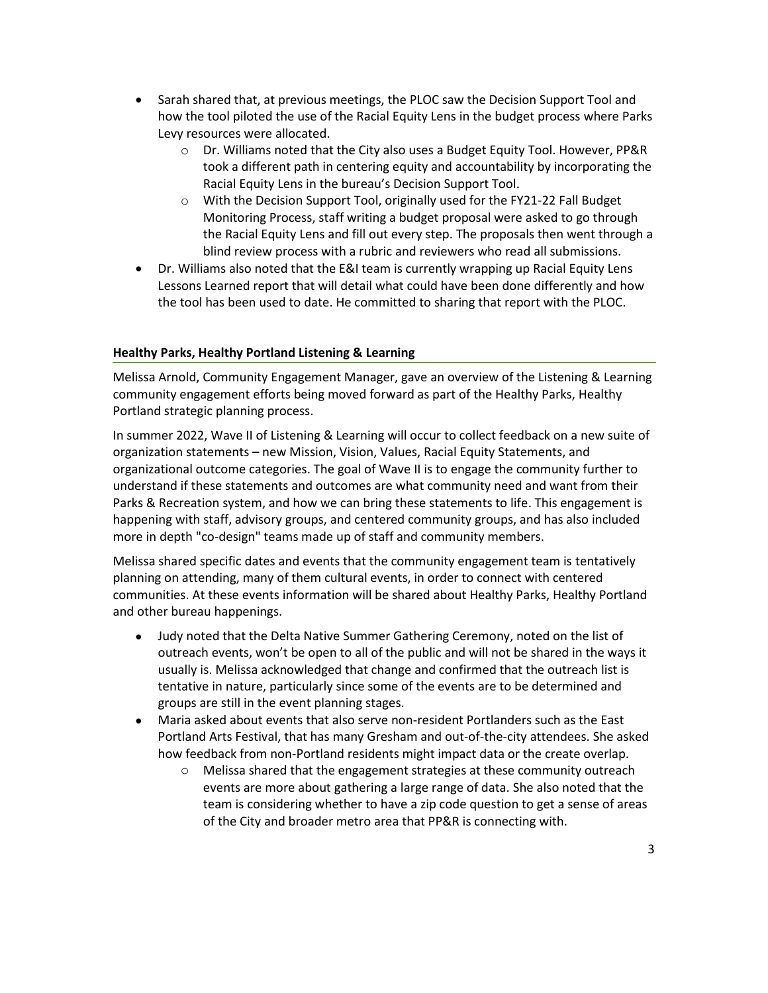- Sarah shared that, at previous meetings, the PLOC saw the Decision Support Tool and how the tool piloted the use of the Racial Equity Lens in the budget process where Parks Levy resources were allocated.
	- o Dr. Williams noted that the City also uses a Budget Equity Tool. However, PP&R took a different path in centering equity and accountability by incorporating the Racial Equity Lens in the bureau's Decision Support Tool.
	- o With the Decision Support Tool, originally used for the FY21-22 Fall Budget Monitoring Process, staff writing a budget proposal were asked to go through the Racial Equity Lens and fill out every step. The proposals then went through a blind review process with a rubric and reviewers who read all submissions.
- Dr. Williams also noted that the E&I team is currently wrapping up Racial Equity Lens Lessons Learned report that will detail what could have been done differently and how the tool has been used to date. He committed to sharing that report with the PLOC.

# **Healthy Parks, Healthy Portland Listening & Learning**

Melissa Arnold, Community Engagement Manager, gave an overview of the Listening & Learning community engagement efforts being moved forward as part of the Healthy Parks, Healthy Portland strategic planning process.

In summer 2022, Wave II of Listening & Learning will occur to collect feedback on a new suite of organization statements – new Mission, Vision, Values, Racial Equity Statements, and organizational outcome categories. The goal of Wave II is to engage the community further to understand if these statements and outcomes are what community need and want from their Parks & Recreation system, and how we can bring these statements to life. This engagement is happening with staff, advisory groups, and centered community groups, and has also included more in depth "co-design" teams made up of staff and community members.

Melissa shared specific dates and events that the community engagement team is tentatively planning on attending, many of them cultural events, in order to connect with centered communities. At these events information will be shared about Healthy Parks, Healthy Portland and other bureau happenings.

- Judy noted that the Delta Native Summer Gathering Ceremony, noted on the list of outreach events, won't be open to all of the public and will not be shared in the ways it usually is. Melissa acknowledged that change and confirmed that the outreach list is tentative in nature, particularly since some of the events are to be determined and groups are still in the event planning stages.
- Maria asked about events that also serve non-resident Portlanders such as the East Portland Arts Festival, that has many Gresham and out-of-the-city attendees. She asked how feedback from non-Portland residents might impact data or the create overlap.
	- $\circ$  Melissa shared that the engagement strategies at these community outreach events are more about gathering a large range of data. She also noted that the team is considering whether to have a zip code question to get a sense of areas of the City and broader metro area that PP&R is connecting with.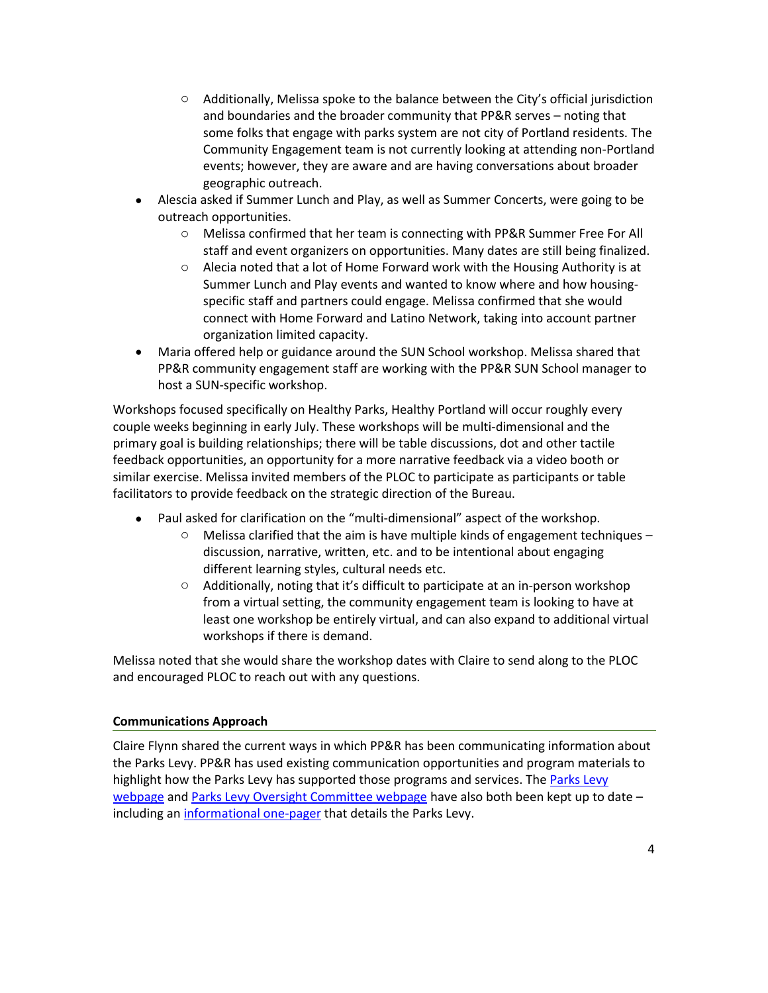- $\circ$  Additionally, Melissa spoke to the balance between the City's official jurisdiction and boundaries and the broader community that PP&R serves – noting that some folks that engage with parks system are not city of Portland residents. The Community Engagement team is not currently looking at attending non-Portland events; however, they are aware and are having conversations about broader geographic outreach.
- Alescia asked if Summer Lunch and Play, as well as Summer Concerts, were going to be outreach opportunities.
	- o Melissa confirmed that her team is connecting with PP&R Summer Free For All staff and event organizers on opportunities. Many dates are still being finalized.
	- $\circ$  Alecia noted that a lot of Home Forward work with the Housing Authority is at Summer Lunch and Play events and wanted to know where and how housingspecific staff and partners could engage. Melissa confirmed that she would connect with Home Forward and Latino Network, taking into account partner organization limited capacity.
- Maria offered help or guidance around the SUN School workshop. Melissa shared that PP&R community engagement staff are working with the PP&R SUN School manager to host a SUN-specific workshop.

Workshops focused specifically on Healthy Parks, Healthy Portland will occur roughly every couple weeks beginning in early July. These workshops will be multi-dimensional and the primary goal is building relationships; there will be table discussions, dot and other tactile feedback opportunities, an opportunity for a more narrative feedback via a video booth or similar exercise. Melissa invited members of the PLOC to participate as participants or table facilitators to provide feedback on the strategic direction of the Bureau.

- Paul asked for clarification on the "multi-dimensional" aspect of the workshop.
	- $\circ$  Melissa clarified that the aim is have multiple kinds of engagement techniques discussion, narrative, written, etc. and to be intentional about engaging different learning styles, cultural needs etc.
	- $\circ$  Additionally, noting that it's difficult to participate at an in-person workshop from a virtual setting, the community engagement team is looking to have at least one workshop be entirely virtual, and can also expand to additional virtual workshops if there is demand.

Melissa noted that she would share the workshop dates with Claire to send along to the PLOC and encouraged PLOC to reach out with any questions.

# **Communications Approach**

Claire Flynn shared the current ways in which PP&R has been communicating information about the Parks Levy. PP&R has used existing communication opportunities and program materials to highlight how the [Parks Levy](https://www.portland.gov/parks/parks-levy) has supported those programs and services. The Parks Levy [webpage](https://www.portland.gov/parks/parks-levy) an[d Parks Levy Oversight Committee webpage](https://www.portland.gov/parks/ploc) have also both been kept up to date – including a[n informational one-pager](https://www.portland.gov/sites/default/files/2021/ppr_parkslevy_onesheet_2021.pdf) that details the Parks Levy.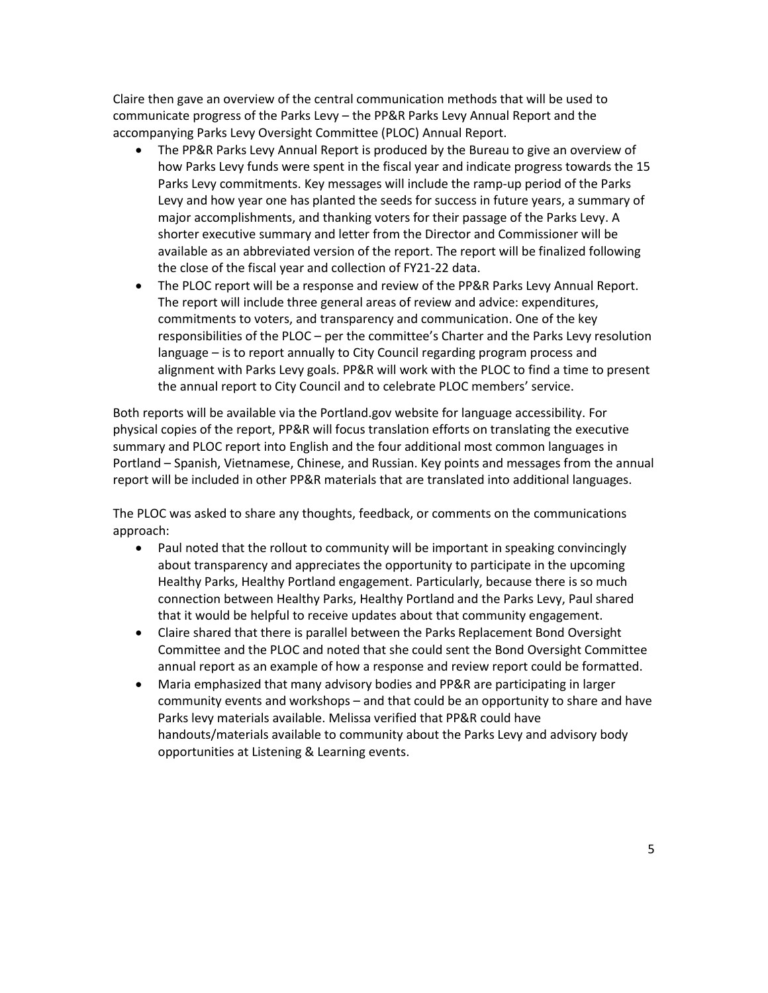Claire then gave an overview of the central communication methods that will be used to communicate progress of the Parks Levy – the PP&R Parks Levy Annual Report and the accompanying Parks Levy Oversight Committee (PLOC) Annual Report.

- The PP&R Parks Levy Annual Report is produced by the Bureau to give an overview of how Parks Levy funds were spent in the fiscal year and indicate progress towards the 15 Parks Levy commitments. Key messages will include the ramp-up period of the Parks Levy and how year one has planted the seeds for success in future years, a summary of major accomplishments, and thanking voters for their passage of the Parks Levy. A shorter executive summary and letter from the Director and Commissioner will be available as an abbreviated version of the report. The report will be finalized following the close of the fiscal year and collection of FY21-22 data.
- The PLOC report will be a response and review of the PP&R Parks Levy Annual Report. The report will include three general areas of review and advice: expenditures, commitments to voters, and transparency and communication. One of the key responsibilities of the PLOC – per the committee's Charter and the Parks Levy resolution language – is to report annually to City Council regarding program process and alignment with Parks Levy goals. PP&R will work with the PLOC to find a time to present the annual report to City Council and to celebrate PLOC members' service.

Both reports will be available via the Portland.gov website for language accessibility. For physical copies of the report, PP&R will focus translation efforts on translating the executive summary and PLOC report into English and the four additional most common languages in Portland – Spanish, Vietnamese, Chinese, and Russian. Key points and messages from the annual report will be included in other PP&R materials that are translated into additional languages.

The PLOC was asked to share any thoughts, feedback, or comments on the communications approach:

- Paul noted that the rollout to community will be important in speaking convincingly about transparency and appreciates the opportunity to participate in the upcoming Healthy Parks, Healthy Portland engagement. Particularly, because there is so much connection between Healthy Parks, Healthy Portland and the Parks Levy, Paul shared that it would be helpful to receive updates about that community engagement.
- Claire shared that there is parallel between the Parks Replacement Bond Oversight Committee and the PLOC and noted that she could sent the Bond Oversight Committee annual report as an example of how a response and review report could be formatted.
- Maria emphasized that many advisory bodies and PP&R are participating in larger community events and workshops – and that could be an opportunity to share and have Parks levy materials available. Melissa verified that PP&R could have handouts/materials available to community about the Parks Levy and advisory body opportunities at Listening & Learning events.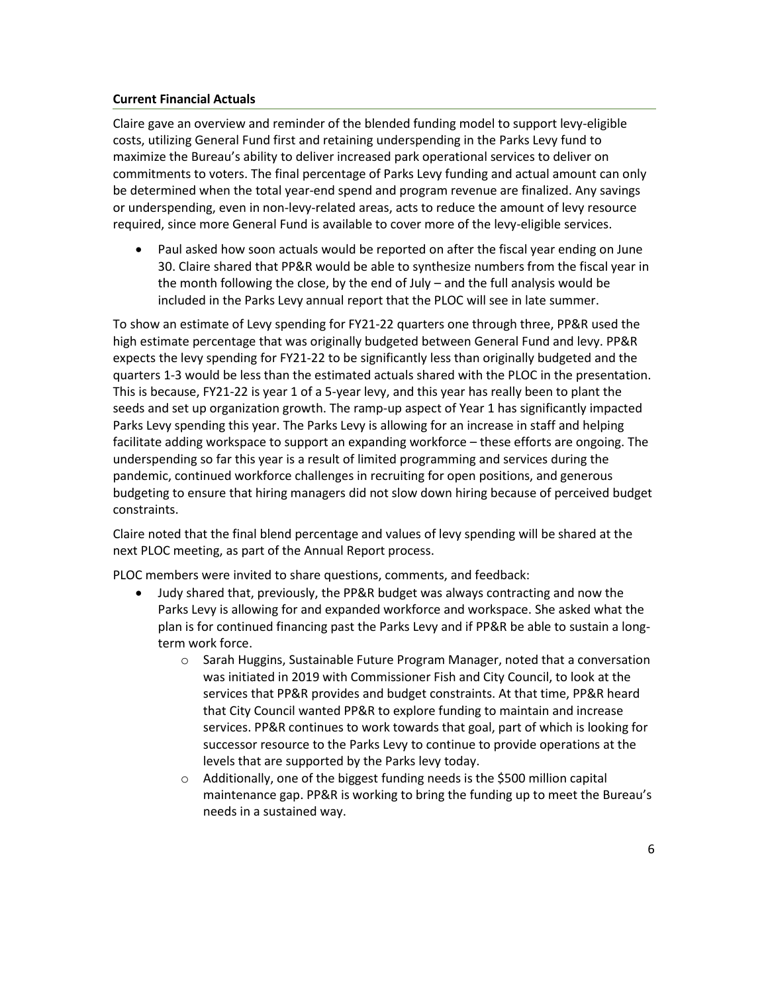# **Current Financial Actuals**

Claire gave an overview and reminder of the blended funding model to support levy-eligible costs, utilizing General Fund first and retaining underspending in the Parks Levy fund to maximize the Bureau's ability to deliver increased park operational services to deliver on commitments to voters. The final percentage of Parks Levy funding and actual amount can only be determined when the total year-end spend and program revenue are finalized. Any savings or underspending, even in non-levy-related areas, acts to reduce the amount of levy resource required, since more General Fund is available to cover more of the levy-eligible services.

• Paul asked how soon actuals would be reported on after the fiscal year ending on June 30. Claire shared that PP&R would be able to synthesize numbers from the fiscal year in the month following the close, by the end of July – and the full analysis would be included in the Parks Levy annual report that the PLOC will see in late summer.

To show an estimate of Levy spending for FY21-22 quarters one through three, PP&R used the high estimate percentage that was originally budgeted between General Fund and levy. PP&R expects the levy spending for FY21-22 to be significantly less than originally budgeted and the quarters 1-3 would be less than the estimated actuals shared with the PLOC in the presentation. This is because, FY21-22 is year 1 of a 5-year levy, and this year has really been to plant the seeds and set up organization growth. The ramp-up aspect of Year 1 has significantly impacted Parks Levy spending this year. The Parks Levy is allowing for an increase in staff and helping facilitate adding workspace to support an expanding workforce – these efforts are ongoing. The underspending so far this year is a result of limited programming and services during the pandemic, continued workforce challenges in recruiting for open positions, and generous budgeting to ensure that hiring managers did not slow down hiring because of perceived budget constraints.

Claire noted that the final blend percentage and values of levy spending will be shared at the next PLOC meeting, as part of the Annual Report process.

PLOC members were invited to share questions, comments, and feedback:

- Judy shared that, previously, the PP&R budget was always contracting and now the Parks Levy is allowing for and expanded workforce and workspace. She asked what the plan is for continued financing past the Parks Levy and if PP&R be able to sustain a longterm work force.
	- o Sarah Huggins, Sustainable Future Program Manager, noted that a conversation was initiated in 2019 with Commissioner Fish and City Council, to look at the services that PP&R provides and budget constraints. At that time, PP&R heard that City Council wanted PP&R to explore funding to maintain and increase services. PP&R continues to work towards that goal, part of which is looking for successor resource to the Parks Levy to continue to provide operations at the levels that are supported by the Parks levy today.
	- o Additionally, one of the biggest funding needs is the \$500 million capital maintenance gap. PP&R is working to bring the funding up to meet the Bureau's needs in a sustained way.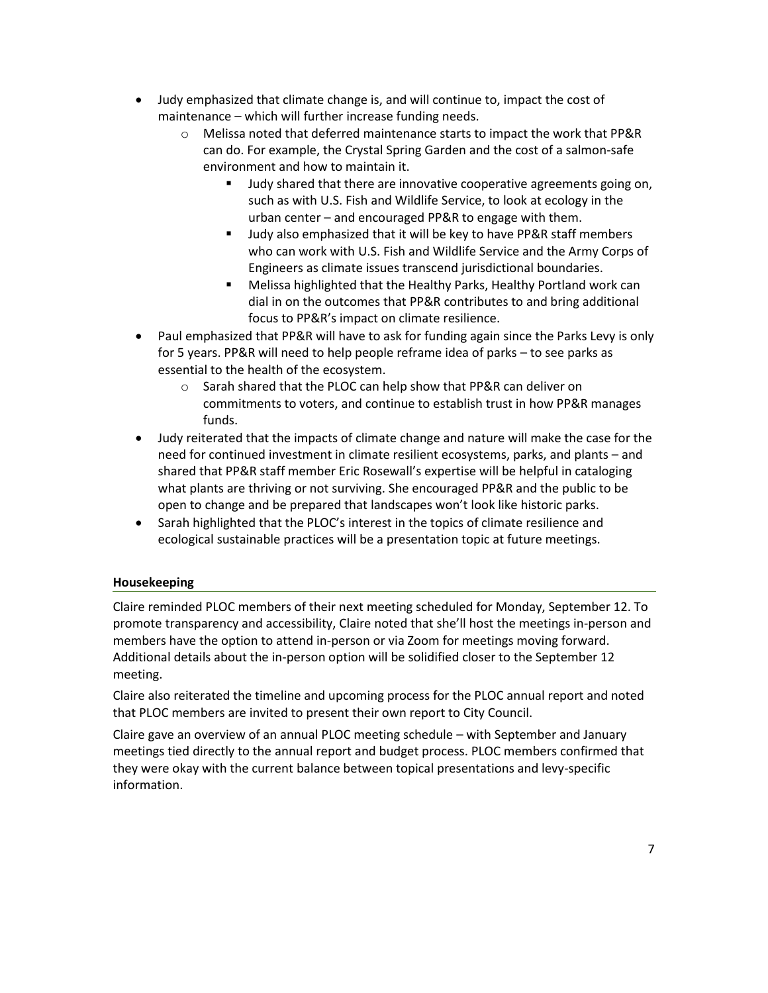- Judy emphasized that climate change is, and will continue to, impact the cost of maintenance – which will further increase funding needs.
	- $\circ$  Melissa noted that deferred maintenance starts to impact the work that PP&R can do. For example, the Crystal Spring Garden and the cost of a salmon-safe environment and how to maintain it.
		- Judy shared that there are innovative cooperative agreements going on, such as with U.S. Fish and Wildlife Service, to look at ecology in the urban center – and encouraged PP&R to engage with them.
		- Judy also emphasized that it will be key to have PP&R staff members who can work with U.S. Fish and Wildlife Service and the Army Corps of Engineers as climate issues transcend jurisdictional boundaries.
		- Melissa highlighted that the Healthy Parks, Healthy Portland work can dial in on the outcomes that PP&R contributes to and bring additional focus to PP&R's impact on climate resilience.
- Paul emphasized that PP&R will have to ask for funding again since the Parks Levy is only for 5 years. PP&R will need to help people reframe idea of parks – to see parks as essential to the health of the ecosystem.
	- o Sarah shared that the PLOC can help show that PP&R can deliver on commitments to voters, and continue to establish trust in how PP&R manages funds.
- Judy reiterated that the impacts of climate change and nature will make the case for the need for continued investment in climate resilient ecosystems, parks, and plants – and shared that PP&R staff member Eric Rosewall's expertise will be helpful in cataloging what plants are thriving or not surviving. She encouraged PP&R and the public to be open to change and be prepared that landscapes won't look like historic parks.
- Sarah highlighted that the PLOC's interest in the topics of climate resilience and ecological sustainable practices will be a presentation topic at future meetings.

# **Housekeeping**

Claire reminded PLOC members of their next meeting scheduled for Monday, September 12. To promote transparency and accessibility, Claire noted that she'll host the meetings in-person and members have the option to attend in-person or via Zoom for meetings moving forward. Additional details about the in-person option will be solidified closer to the September 12 meeting.

Claire also reiterated the timeline and upcoming process for the PLOC annual report and noted that PLOC members are invited to present their own report to City Council.

Claire gave an overview of an annual PLOC meeting schedule – with September and January meetings tied directly to the annual report and budget process. PLOC members confirmed that they were okay with the current balance between topical presentations and levy-specific information.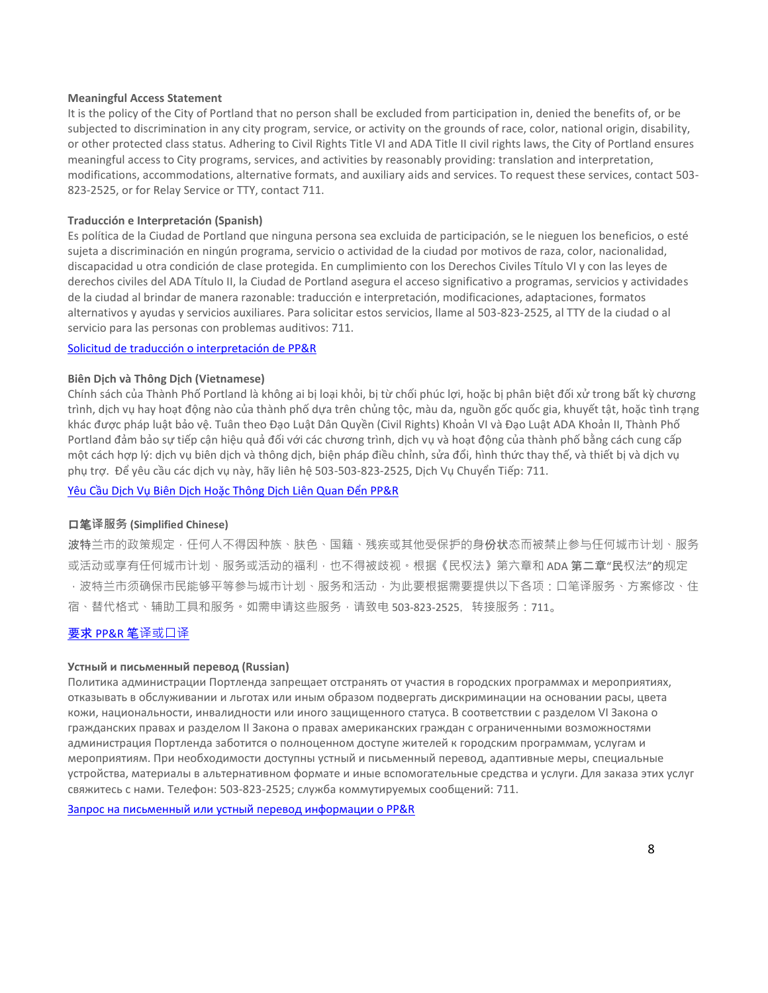#### **Meaningful Access Statement**

It is the policy of the City of Portland that no person shall be excluded from participation in, denied the benefits of, or be subjected to discrimination in any city program, service, or activity on the grounds of race, color, national origin, disability, or other protected class status. Adhering to Civil Rights Title VI and ADA Title II civil rights laws, the City of Portland ensures meaningful access to City programs, services, and activities by reasonably providing: translation and interpretation, modifications, accommodations, alternative formats, and auxiliary aids and services. To request these services, contact 503- 823-2525, or for Relay Service or TTY, contact 711.

#### **Traducción e Interpretación (Spanish)**

Es política de la Ciudad de Portland que ninguna persona sea excluida de participación, se le nieguen los beneficios, o esté sujeta a discriminación en ningún programa, servicio o actividad de la ciudad por motivos de raza, color, nacionalidad, discapacidad u otra condición de clase protegida. En cumplimiento con los Derechos Civiles Título VI y con las leyes de derechos civiles del ADA Título II, la Ciudad de Portland asegura el acceso significativo a programas, servicios y actividades de la ciudad al brindar de manera razonable: traducción e interpretación, modificaciones, adaptaciones, formatos alternativos y ayudas y servicios auxiliares. Para solicitar estos servicios, llame al 503-823-2525, al TTY de la ciudad o al servicio para las personas con problemas auditivos: 711.

#### [Solicitud de traducción o interpretación de PP&R](https://www.portland.gov/parks/spanish-translation)

#### **Biên Dịch và Thông Dịch (Vietnamese)**

Chính sách của Thành Phố Portland là không ai bị loại khỏi, bị từ chối phúc lợi, hoặc bị phân biệt đối xử trong bất kỳ chương trình, dịch vụ hay hoạt động nào của thành phố dựa trên chủng tộc, màu da, nguồn gốc quốc gia, khuyết tật, hoặc tình trạng khác được pháp luật bảo vệ. Tuân theo Đạo Luật Dân Quyền (Civil Rights) Khoản VI và Đạo Luật ADA Khoản II, Thành Phố Portland đảm bảo sự tiếp cận hiệu quả đối với các chương trình, dịch vụ và hoạt động của thành phố bằng cách cung cấp một cách hợp lý: dịch vụ biên dịch và thông dịch, biện pháp điều chỉnh, sửa đổi, hình thức thay thế, và thiết bị và dịch vụ phụ trợ. Để yêu cầu các dịch vụ này, hãy liên hệ 503-503-823-2525, Dịch Vụ Chuyển Tiếp: 711.

Yêu Cầu Dịch Vụ Biên Dịch Hoặc [Thông Dịch Liên Quan Đển PP&R](https://www.portland.gov/parks/vietnamese-translation)

## 口笔**译服务 (Simplified Chinese)**

波特兰市的政策规定,任何人不得因种族、肤色、国籍、残疾或其他受保护的身份状态而被禁止参与任何城市计划、服务 或活动或享有任何城市计划、服务或活动的福利,也不得被歧视。根据《民权法》第六章和 ADA 第二章"民权法"的规定 ·波特兰市须确保市民能够平等参与城市计划、服务和活动,为此要根据需要提供以下各项:口笔译服务、方案修改、住 宿、替代格式、辅助工具和服务。如需申请这些服务,请致电 503-823-2525, 转接服务:711。

## 要求 [PP&R](https://www.portland.gov/parks/chinese-translation) 笔[译或口译](https://www.portland.gov/parks/chinese-translation)

#### **Устный и письменный перевод (Russian)**

Политика администрации Портленда запрещает отстранять от участия в городских программах и мероприятиях, отказывать в обслуживании и льготах или иным образом подвергать дискриминации на основании расы, цвета кожи, национальности, инвалидности или иного защищенного статуса. В соответствии с разделом VI Закона о гражданских правах и разделом II Закона о правах американских граждан с ограниченными возможностями администрация Портленда заботится о полноценном доступе жителей к городским программам, услугам и мероприятиям. При необходимости доступны устный и письменный перевод, адаптивные меры, специальные устройства, материалы в альтернативном формате и иные вспомогательные средства и услуги. Для заказа этих услуг свяжитесь с нами. Телефон: 503-823-2525; служба коммутируемых сообщений: 711.

[Запрос на письменный или устный перевод информации о PP&R](https://www.portland.gov/parks/russian-translation)